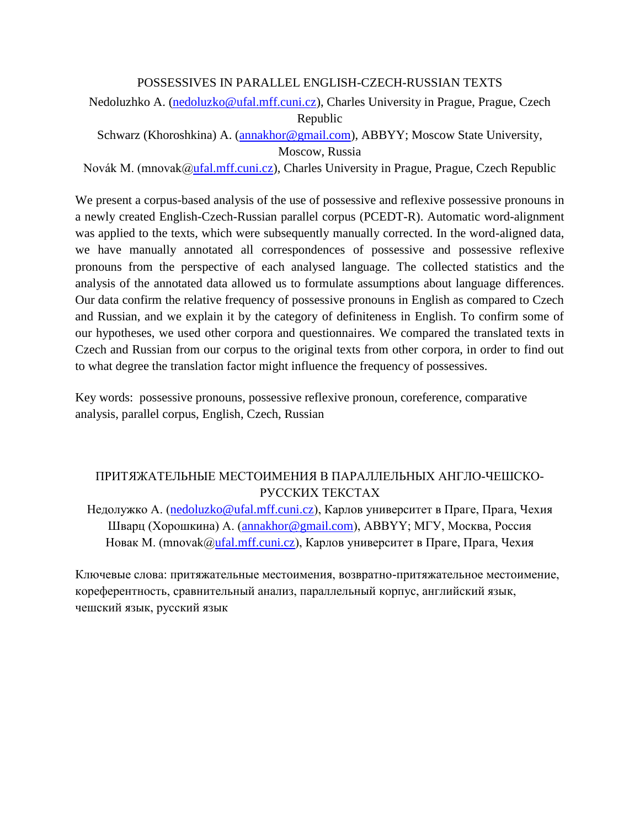### POSSESSIVES IN PARALLEL ENGLISH-CZECH-RUSSIAN TEXTS

Nedoluzhko A. [\(nedoluzko@ufal.mff.cuni.cz\)](mailto:nedoluzko@ufal.mff.cuni.cz), Charles University in Prague, Prague, Czech Republic

Schwarz (Khoroshkina) A. [\(annakhor@gmail.com\)](mailto:annakhor@gmail.com), ABBYY; Moscow State University, Moscow, Russia

Novák M. (mnovak[@ufal.mff.cuni.cz\)](mailto:nedoluzko@ufal.mff.cuni.cz), Charles University in Prague, Prague, Czech Republic

We present a corpus-based analysis of the use of possessive and reflexive possessive pronouns in a newly created English-Czech-Russian parallel corpus (PCEDT-R). Automatic word-alignment was applied to the texts, which were subsequently manually corrected. In the word-aligned data, we have manually annotated all correspondences of possessive and possessive reflexive pronouns from the perspective of each analysed language. The collected statistics and the analysis of the annotated data allowed us to formulate assumptions about language differences. Our data confirm the relative frequency of possessive pronouns in English as compared to Czech and Russian, and we explain it by the category of definiteness in English. To confirm some of our hypotheses, we used other corpora and questionnaires. We compared the translated texts in Czech and Russian from our corpus to the original texts from other corpora, in order to find out to what degree the translation factor might influence the frequency of possessives.

Key words: possessive pronouns, possessive reflexive pronoun, coreference, comparative analysis, parallel corpus, English, Czech, Russian

# ПРИТЯЖАТЕЛЬНЫЕ МЕСТОИМЕНИЯ В ПАРАЛЛЕЛЬНЫХ АНГЛО-ЧЕШСКО-РУССКИХ ТЕКСТАХ

Недолужко A. [\(nedoluzko@ufal.mff.cuni.cz\)](mailto:nedoluzko@ufal.mff.cuni.cz), Карлов университет в Праге, Прага, Чехия Шварц (Хорошкина) A. [\(annakhor@gmail.com\)](mailto:annakhor@gmail.com), ABBYY; МГУ, Москва, Россия Новак M. (mnovak[@ufal.mff.cuni.cz\)](mailto:nedoluzko@ufal.mff.cuni.cz), Карлов университет в Праге, Прага, Чехия

Ключевые слова: притяжательные местоимения, возвратно-притяжательное местоимение, кореферентность, сравнительный анализ, параллельный корпус, английский язык, чешский язык, русский язык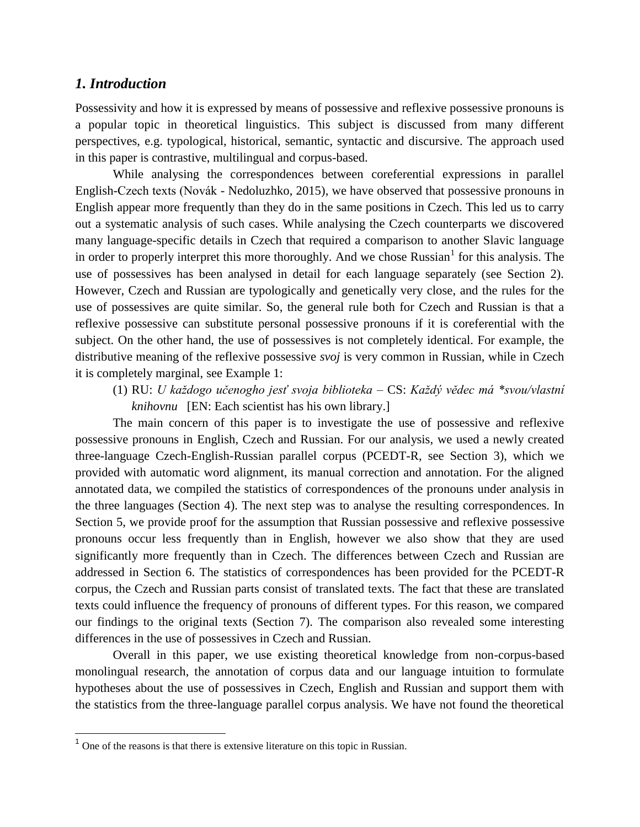#### *1. Introduction*

Possessivity and how it is expressed by means of possessive and reflexive possessive pronouns is a popular topic in theoretical linguistics. This subject is discussed from many different perspectives, e.g. typological, historical, semantic, syntactic and discursive. The approach used in this paper is contrastive, multilingual and corpus-based.

While analysing the correspondences between coreferential expressions in parallel English-Czech texts (Novák - Nedoluzhko, 2015), we have observed that possessive pronouns in English appear more frequently than they do in the same positions in Czech. This led us to carry out a systematic analysis of such cases. While analysing the Czech counterparts we discovered many language-specific details in Czech that required a comparison to another Slavic language in order to properly interpret this more thoroughly. And we chose Russian<sup>1</sup> for this analysis. The use of possessives has been analysed in detail for each language separately (see Section 2). However, Czech and Russian are typologically and genetically very close, and the rules for the use of possessives are quite similar. So, the general rule both for Czech and Russian is that a reflexive possessive can substitute personal possessive pronouns if it is coreferential with the subject. On the other hand, the use of possessives is not completely identical. For example, the distributive meaning of the reflexive possessive *svoj* is very common in Russian, while in Czech it is completely marginal, see Example 1:

(1) RU: *U každogo učenogho jesť svoja biblioteka –* CS: *Každý vědec má \*svou/vlastní knihovnu* [EN: Each scientist has his own library.]

The main concern of this paper is to investigate the use of possessive and reflexive possessive pronouns in English, Czech and Russian. For our analysis, we used a newly created three-language Czech-English-Russian parallel corpus (PCEDT-R, see Section 3), which we provided with automatic word alignment, its manual correction and annotation. For the aligned annotated data, we compiled the statistics of correspondences of the pronouns under analysis in the three languages (Section 4). The next step was to analyse the resulting correspondences. In Section 5, we provide proof for the assumption that Russian possessive and reflexive possessive pronouns occur less frequently than in English, however we also show that they are used significantly more frequently than in Czech. The differences between Czech and Russian are addressed in Section 6. The statistics of correspondences has been provided for the PCEDT-R corpus, the Czech and Russian parts consist of translated texts. The fact that these are translated texts could influence the frequency of pronouns of different types. For this reason, we compared our findings to the original texts (Section 7). The comparison also revealed some interesting differences in the use of possessives in Czech and Russian.

Overall in this paper, we use existing theoretical knowledge from non-corpus-based monolingual research, the annotation of corpus data and our language intuition to formulate hypotheses about the use of possessives in Czech, English and Russian and support them with the statistics from the three-language parallel corpus analysis. We have not found the theoretical

 $<sup>1</sup>$  One of the reasons is that there is extensive literature on this topic in Russian.</sup>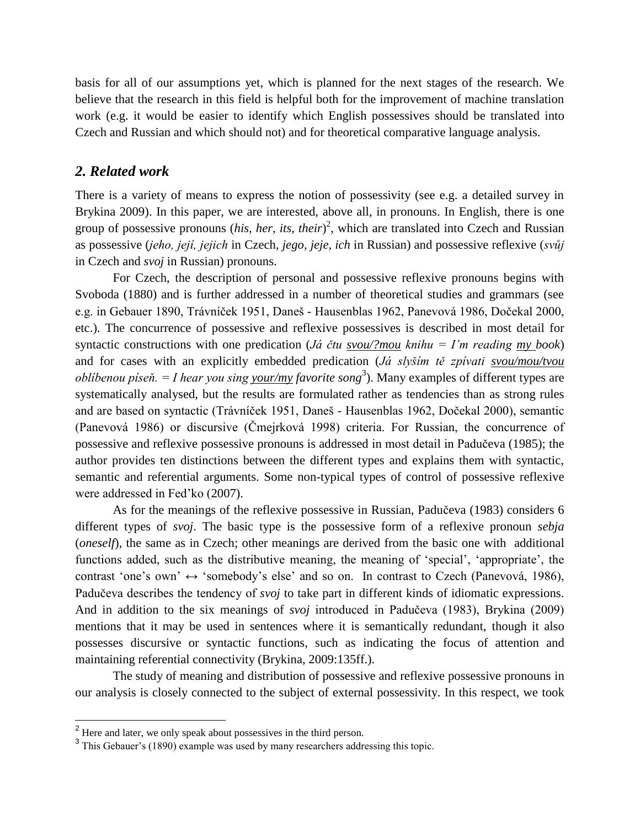basis for all of our assumptions yet, which is planned for the next stages of the research. We believe that the research in this field is helpful both for the improvement of machine translation work (e.g. it would be easier to identify which English possessives should be translated into Czech and Russian and which should not) and for theoretical comparative language analysis.

#### *2. Related work*

There is a variety of means to express the notion of possessivity (see e.g. a detailed survey in Brykina 2009). In this paper, we are interested, above all, in pronouns. In English, there is one group of possessive pronouns (*his, her, its, their*) 2 , which are translated into Czech and Russian as possessive (*jeho, její, jejich* in Czech, *jego, jeje, ich* in Russian) and possessive reflexive (*svůj* in Czech and *svoj* in Russian) pronouns.

For Czech, the description of personal and possessive reflexive pronouns begins with Svoboda (1880) and is further addressed in a number of theoretical studies and grammars (see e.g. in Gebauer 1890, Trávníček 1951, Daneš - Hausenblas 1962, Panevová 1986, Dočekal 2000, etc.). The concurrence of possessive and reflexive possessives is described in most detail for syntactic constructions with one predication (*Já čtu svou/?mou knihu = I'm reading my book*) and for cases with an explicitly embedded predication (*Já slyším tě zpívati svou/mou/tvou oblíbenou píseň. = I hear you sing <u>your/my</u> favorite song*<sup>3</sup>). Many examples of different types are systematically analysed, but the results are formulated rather as tendencies than as strong rules and are based on syntactic (Trávníček 1951, Daneš - Hausenblas 1962, Dočekal 2000), semantic (Panevová 1986) or discursive (Čmejrková 1998) criteria. For Russian, the concurrence of possessive and reflexive possessive pronouns is addressed in most detail in Padučeva (1985); the author provides ten distinctions between the different types and explains them with syntactic, semantic and referential arguments. Some non-typical types of control of possessive reflexive were addressed in Fed'ko (2007).

As for the meanings of the reflexive possessive in Russian, Padučeva (1983) considers 6 different types of *svoj*. The basic type is the possessive form of a reflexive pronoun *sebja* (*oneself*), the same as in Czech; other meanings are derived from the basic one with additional functions added, such as the distributive meaning, the meaning of 'special', 'appropriate', the contrast 'one's own' ↔ 'somebody's else' and so on. In contrast to Czech (Panevová, 1986), Padučeva describes the tendency of *svoj* to take part in different kinds of idiomatic expressions. And in addition to the six meanings of *svoj* introduced in Padučeva (1983), Brykina (2009) mentions that it may be used in sentences where it is semantically redundant, though it also possesses discursive or syntactic functions, such as indicating the focus of attention and maintaining referential connectivity (Brykina, 2009:135ff.).

The study of meaning and distribution of possessive and reflexive possessive pronouns in our analysis is closely connected to the subject of external possessivity. In this respect, we took

 $2<sup>2</sup>$  Here and later, we only speak about possessives in the third person.

<sup>&</sup>lt;sup>3</sup> This Gebauer's (1890) example was used by many researchers addressing this topic.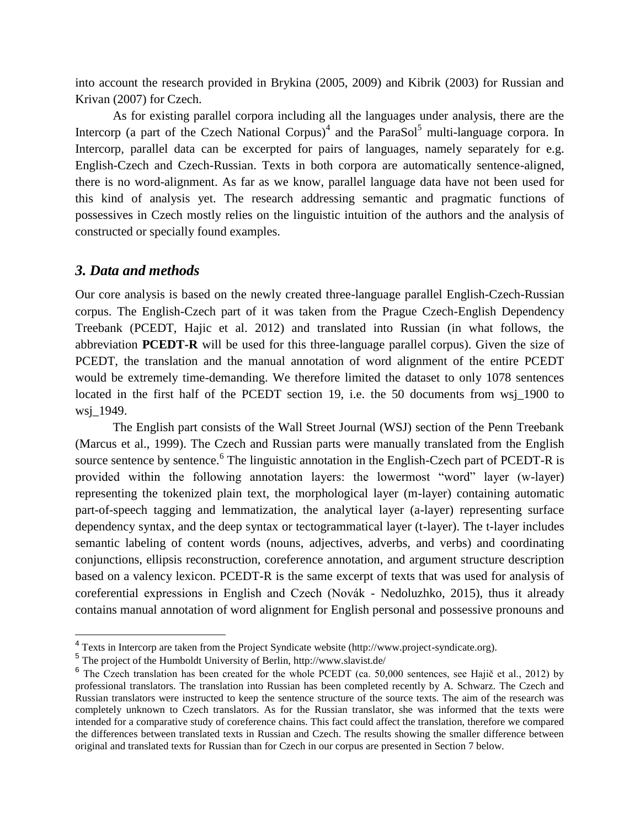into account the research provided in Brykina (2005, 2009) and Kibrik (2003) for Russian and Krivan (2007) for Czech.

As for existing parallel corpora including all the languages under analysis, there are the Intercorp (a part of the Czech National Corpus)<sup>4</sup> and the ParaSol<sup>5</sup> multi-language corpora. In Intercorp, parallel data can be excerpted for pairs of languages, namely separately for e.g. English-Czech and Czech-Russian. Texts in both corpora are automatically sentence-aligned, there is no word-alignment. As far as we know, parallel language data have not been used for this kind of analysis yet. The research addressing semantic and pragmatic functions of possessives in Czech mostly relies on the linguistic intuition of the authors and the analysis of constructed or specially found examples.

## *3. Data and methods*

Our core analysis is based on the newly created three-language parallel English-Czech-Russian corpus. The English-Czech part of it was taken from the Prague Czech-English Dependency Treebank (PCEDT, Hajic et al. 2012) and translated into Russian (in what follows, the abbreviation **PCEDT-R** will be used for this three-language parallel corpus). Given the size of PCEDT, the translation and the manual annotation of word alignment of the entire PCEDT would be extremely time-demanding. We therefore limited the dataset to only 1078 sentences located in the first half of the PCEDT section 19, i.e. the 50 documents from wsj\_1900 to wsj\_1949.

The English part consists of the Wall Street Journal (WSJ) section of the Penn Treebank (Marcus et al., 1999). The Czech and Russian parts were manually translated from the English source sentence by sentence.<sup>6</sup> The linguistic annotation in the English-Czech part of PCEDT-R is provided within the following annotation layers: the lowermost "word" layer (w-layer) representing the tokenized plain text, the morphological layer (m-layer) containing automatic part-of-speech tagging and lemmatization, the analytical layer (a-layer) representing surface dependency syntax, and the deep syntax or tectogrammatical layer (t-layer). The t-layer includes semantic labeling of content words (nouns, adjectives, adverbs, and verbs) and coordinating conjunctions, ellipsis reconstruction, coreference annotation, and argument structure description based on a valency lexicon. PCEDT-R is the same excerpt of texts that was used for analysis of coreferential expressions in English and Czech (Novák - Nedoluzhko, 2015), thus it already contains manual annotation of word alignment for English personal and possessive pronouns and

<sup>&</sup>lt;sup>4</sup> Texts in Intercorp are taken from the Project Syndicate website (http://www.project-syndicate.org).

<sup>&</sup>lt;sup>5</sup> The project of the Humboldt University of Berlin, http://www.slavist.de/

<sup>&</sup>lt;sup>6</sup> The Czech translation has been created for the whole PCEDT (ca. 50,000 sentences, see Hajič et al., 2012) by professional translators. The translation into Russian has been completed recently by A. Schwarz. The Czech and Russian translators were instructed to keep the sentence structure of the source texts. The aim of the research was completely unknown to Czech translators. As for the Russian translator, she was informed that the texts were intended for a comparative study of coreference chains. This fact could affect the translation, therefore we compared the differences between translated texts in Russian and Czech. The results showing the smaller difference between original and translated texts for Russian than for Czech in our corpus are presented in Section 7 below.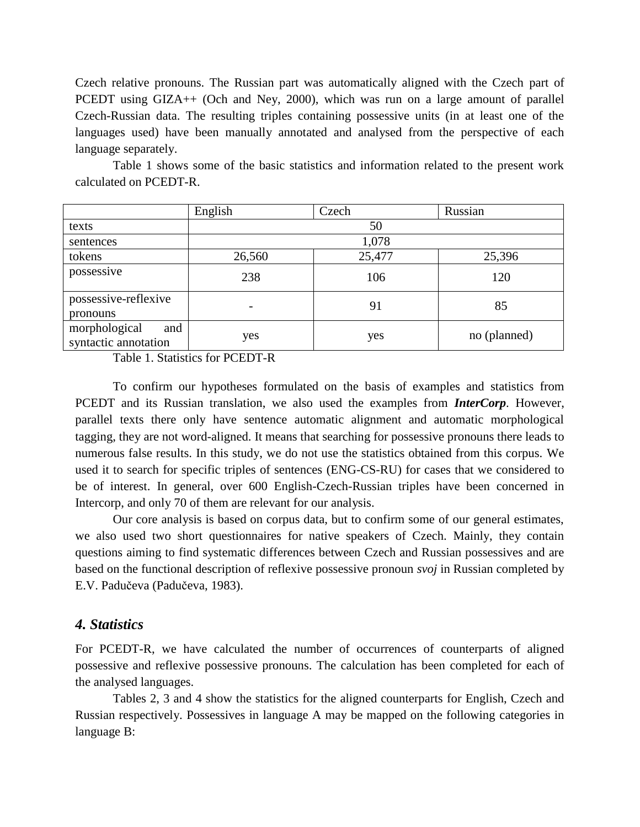Czech relative pronouns. The Russian part was automatically aligned with the Czech part of PCEDT using GIZA++ (Och and Ney, 2000), which was run on a large amount of parallel Czech-Russian data. The resulting triples containing possessive units (in at least one of the languages used) have been manually annotated and analysed from the perspective of each language separately.

English | Czech | Russian texts  $50$ sentences and the sentences of  $1,078$ tokens 10.560 25,477 25,396 possessive 238  $106$  120 possessive-reflexive pronouns - 91 85 morphological and syntactic annotation yes yes yes no (planned)

Table 1 shows some of the basic statistics and information related to the present work calculated on PCEDT-R.

Table 1. Statistics for PCEDT-R

To confirm our hypotheses formulated on the basis of examples and statistics from PCEDT and its Russian translation, we also used the examples from *InterCorp*. However, parallel texts there only have sentence automatic alignment and automatic morphological tagging, they are not word-aligned. It means that searching for possessive pronouns there leads to numerous false results. In this study, we do not use the statistics obtained from this corpus. We used it to search for specific triples of sentences (ENG-CS-RU) for cases that we considered to be of interest. In general, over 600 English-Czech-Russian triples have been concerned in Intercorp, and only 70 of them are relevant for our analysis.

Our core analysis is based on corpus data, but to confirm some of our general estimates, we also used two short questionnaires for native speakers of Czech. Mainly, they contain questions aiming to find systematic differences between Czech and Russian possessives and are based on the functional description of reflexive possessive pronoun *svoj* in Russian completed by E.V. Padučeva (Padučeva, 1983).

### *4. Statistics*

For PCEDT-R, we have calculated the number of occurrences of counterparts of aligned possessive and reflexive possessive pronouns. The calculation has been completed for each of the analysed languages.

Tables 2, 3 and 4 show the statistics for the aligned counterparts for English, Czech and Russian respectively. Possessives in language A may be mapped on the following categories in language B: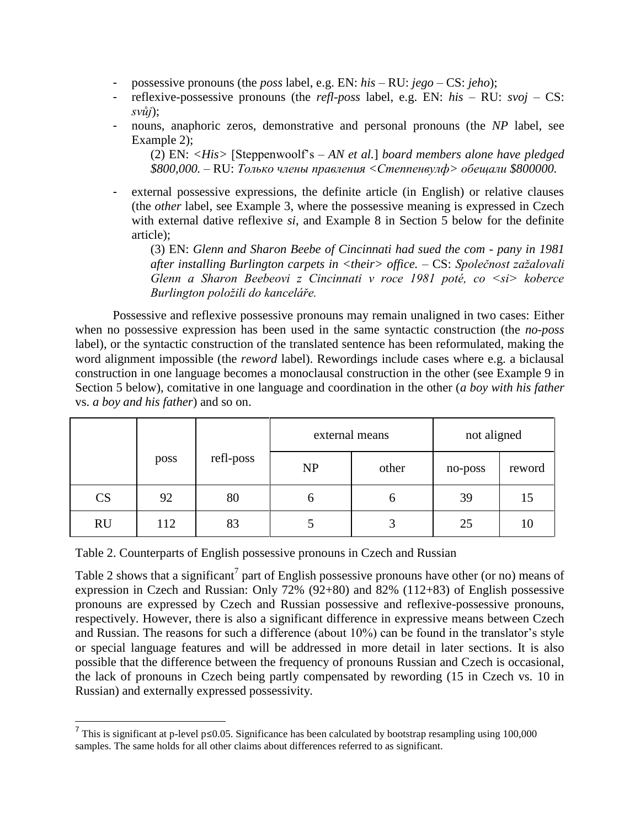- possessive pronouns (the *poss* label, e.g. EN: *his* RU: *jego* CS: *jeho*);
- reflexive-possessive pronouns (the *refl-poss* label, e.g. EN: *his* RU: *svoj* CS: *svůj*);
- nouns, anaphoric zeros, demonstrative and personal pronouns (the *NP* label, see Example 2);

(2) EN: *<His>* [Steppenwoolf's – *AN et al.*] *board members alone have pledged \$800,000. –* RU: *Только члены правления <Степпенвулф> обещали \$800000.*

external possessive expressions, the definite article (in English) or relative clauses (the *other* label, see Example 3, where the possessive meaning is expressed in Czech with external dative reflexive *si*, and Example 8 in Section 5 below for the definite article);

(3) EN: *Glenn and Sharon Beebe of Cincinnati had sued the com - pany in 1981 after installing Burlington carpets in <their> office. –* CS: *Společnost zažalovali Glenn a Sharon Beebeovi z Cincinnati v roce 1981 poté, co <si> koberce Burlington položili do kanceláře.*

Possessive and reflexive possessive pronouns may remain unaligned in two cases: Еither when no possessive expression has been used in the same syntactic construction (the *no-poss* label), or the syntactic construction of the translated sentence has been reformulated, making the word alignment impossible (the *reword* label). Rewordings include cases where e.g. a biclausal construction in one language becomes a monoclausal construction in the other (see Example 9 in Section 5 below), comitative in one language and coordination in the other (*a boy with his father* vs. *a boy and his father*) and so on.

|           |      |           | external means |       | not aligned |        |
|-----------|------|-----------|----------------|-------|-------------|--------|
|           | poss | refl-poss | NP             | other | no-poss     | reword |
| <b>CS</b> | 92   | 80        | O              | O     | 39          | 15     |
| <b>RU</b> | 112  | 83        |                |       | 25          | 10     |

Table 2. Counterparts of English possessive pronouns in Czech and Russian

Table 2 shows that a significant<sup>7</sup> part of English possessive pronouns have other (or no) means of expression in Czech and Russian: Only 72% (92+80) and 82% (112+83) of English possessive pronouns are expressed by Czech and Russian possessive and reflexive-possessive pronouns, respectively. However, there is also a significant difference in expressive means between Czech and Russian. The reasons for such a difference (about 10%) can be found in the translator's style or special language features and will be addressed in more detail in later sections. It is also possible that the difference between the frequency of pronouns Russian and Czech is occasional, the lack of pronouns in Czech being partly compensated by rewording (15 in Czech vs. 10 in Russian) and externally expressed possessivity.

 7 This is significant at p-level p≤0.05. Significance has been calculated by bootstrap resampling using 100,000 samples. The same holds for all other claims about differences referred to as significant.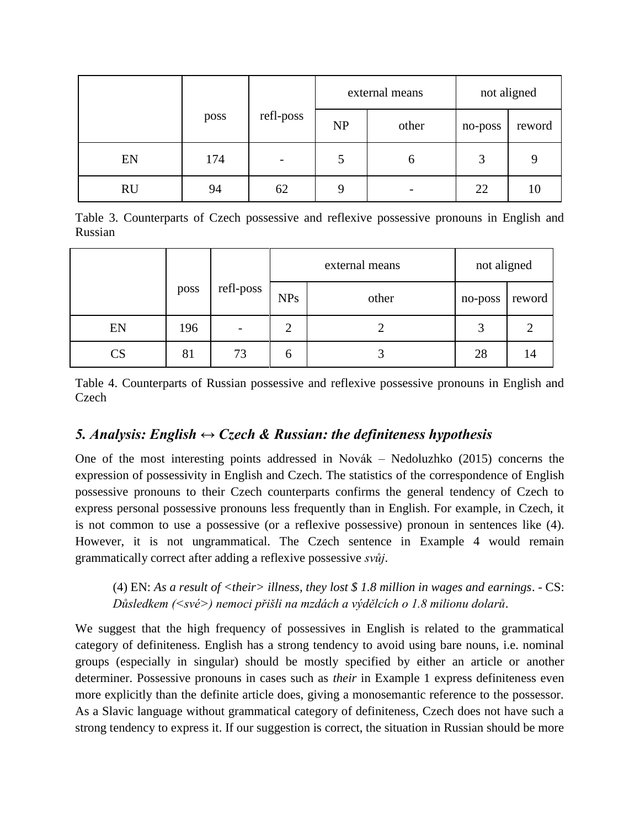|           |      |                          |           | external means |         | not aligned |  |
|-----------|------|--------------------------|-----------|----------------|---------|-------------|--|
|           | poss | refl-poss                | <b>NP</b> | other          | no-poss | reword      |  |
| EN        | 174  | $\overline{\phantom{0}}$ | 5         | b              | 3       | q           |  |
| <b>RU</b> | 94   | 62                       | 9         |                | 22      | 10          |  |

Table 3. Counterparts of Czech possessive and reflexive possessive pronouns in English and Russian

|                            |      |                          | external means |       | not aligned |        |
|----------------------------|------|--------------------------|----------------|-------|-------------|--------|
|                            | poss | refl-poss                | <b>NPs</b>     | other | no-poss     | reword |
| EN                         | 196  | $\overline{\phantom{a}}$ | $\overline{2}$ |       | 3           |        |
| $\mathop{\rm CS}\nolimits$ | 81   | 73                       | b              |       | 28          | 14     |

Table 4. Counterparts of Russian possessive and reflexive possessive pronouns in English and **Czech** 

# *5. Analysis: English*  $\leftrightarrow$  *Czech & Russian: the definiteness hypothesis*

One of the most interesting points addressed in Novák – Nedoluzhko (2015) concerns the expression of possessivity in English and Czech. The statistics of the correspondence of English possessive pronouns to their Czech counterparts confirms the general tendency of Czech to express personal possessive pronouns less frequently than in English. For example, in Czech, it is not common to use a possessive (or a reflexive possessive) pronoun in sentences like (4). However, it is not ungrammatical. The Czech sentence in Example 4 would remain grammatically correct after adding a reflexive possessive *svůj*.

(4) EN: *As a result of <their> illness, they lost \$ 1.8 million in wages and earnings*. - CS: *Důsledkem (<své>) nemoci přišli na mzdách a výdělcích o 1.8 milionu dolarů*.

We suggest that the high frequency of possessives in English is related to the grammatical category of definiteness. English has a strong tendency to avoid using bare nouns, i.e. nominal groups (especially in singular) should be mostly specified by either an article or another determiner. Possessive pronouns in cases such as *their* in Example 1 express definiteness even more explicitly than the definite article does, giving a monosemantic reference to the possessor. As a Slavic language without grammatical category of definiteness, Czech does not have such a strong tendency to express it. If our suggestion is correct, the situation in Russian should be more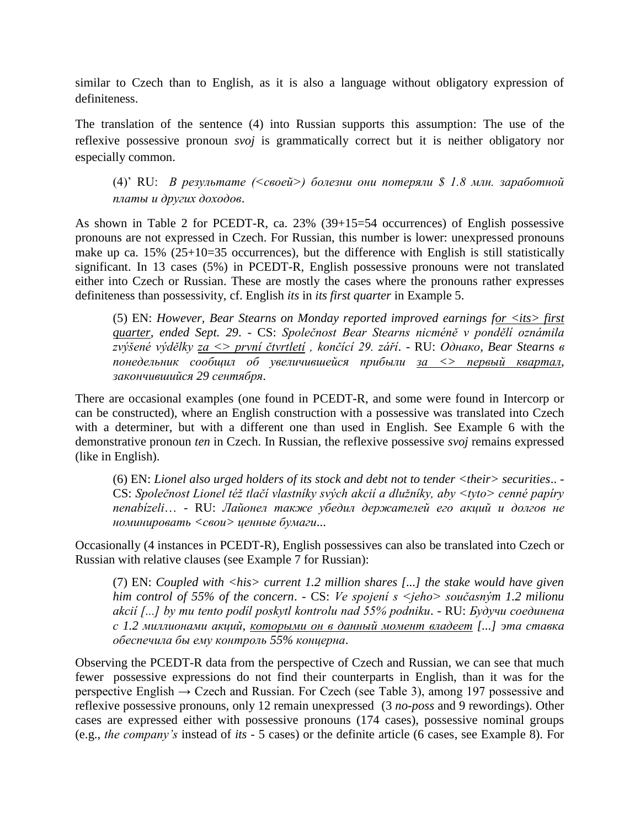similar to Czech than to English, as it is also a language without obligatory expression of definiteness.

The translation of the sentence (4) into Russian supports this assumption: The use of the reflexive possessive pronoun *svoj* is grammatically correct but it is neither obligatory nor especially common.

(4)' RU: *В результате (<своей>) болезни они потеряли \$ 1.8 млн. заработной платы и других доходов*.

As shown in Table 2 for PCEDT-R, ca. 23% (39+15=54 occurrences) of English possessive pronouns are not expressed in Czech. For Russian, this number is lower: unexpressed pronouns make up ca. 15% (25+10=35 occurrences), but the difference with English is still statistically significant. In 13 cases (5%) in PCEDT-R, English possessive pronouns were not translated either into Czech or Russian. These are mostly the cases where the pronouns rather expresses definiteness than possessivity, cf. English *its* in *its first quarter* in Example 5.

(5) EN: *However, Bear Stearns on Monday reported improved earnings for <its> first quarter, ended Sept. 29*. - CS: *Společnost Bear Stearns nicméně v pondělí oznámila zvýšené výdělky za <> první čtvrtletí , končící 29. září*. - RU: *Однако, Bear Stearns в понедельник сообщил об увеличившейся прибыли за <> первый квартал, закончившийся 29 сентября*.

There are occasional examples (one found in PCEDT-R, and some were found in Intercorp or can be constructed), where an English construction with a possessive was translated into Czech with a determiner, but with a different one than used in English. See Example 6 with the demonstrative pronoun *ten* in Czech. In Russian, the reflexive possessive *svoj* remains expressed (like in English).

(6) EN: *Lionel also urged holders of its stock and debt not to tender <their> securities*.. - CS: *Společnost Lionel též tlačí vlastníky svých akcií a dlužníky, aby <tyto> cenné papíry nenabízeli*… - RU: *Лайонел также убедил держателей его акций и долгов не номинировать <свои> ценные бумаги*...

Occasionally (4 instances in PCEDT-R), English possessives can also be translated into Czech or Russian with relative clauses (see Example 7 for Russian):

(7) EN: *Coupled with <his> current 1.2 million shares [...] the stake would have given him control of 55% of the concern*. - CS: *Ve spojení s <jeho> současným 1.2 milionu akcií [...] by mu tento podíl poskytl kontrolu nad 55% podniku*. - RU: *Будучи соединена с 1.2 миллионами акций, которыми он в данный момент владеет [...] эта ставка обеспечила бы ему контроль 55% концерна*.

Observing the PCEDT-R data from the perspective of Czech and Russian, we can see that much fewer possessive expressions do not find their counterparts in English, than it was for the perspective English  $\rightarrow$  Czech and Russian. For Czech (see Table 3), among 197 possessive and reflexive possessive pronouns, only 12 remain unexpressed (3 *no-poss* and 9 rewordings). Other cases are expressed either with possessive pronouns (174 cases), possessive nominal groups (e.g., *the company's* instead of *its -* 5 cases) or the definite article (6 cases, see Example 8). For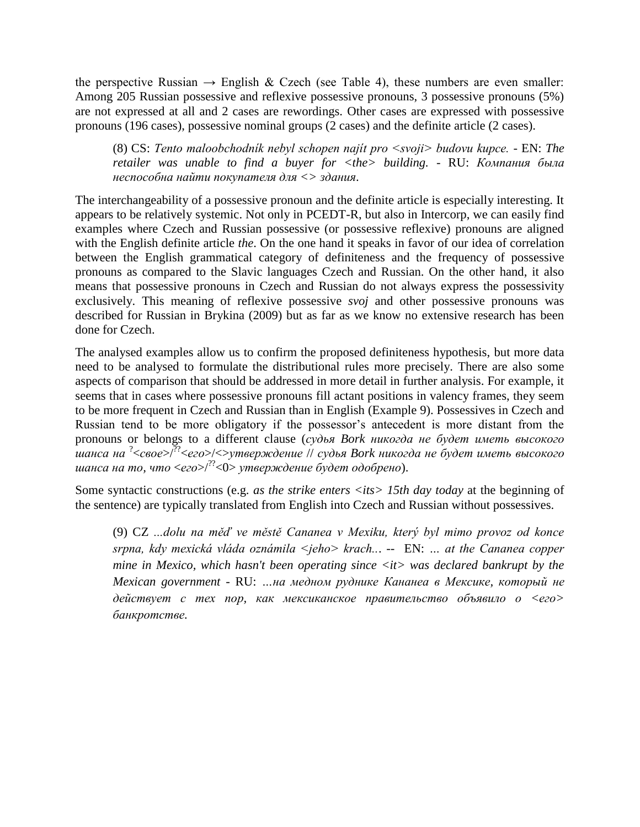the perspective Russian  $\rightarrow$  English & Czech (see Table 4), these numbers are even smaller: Among 205 Russian possessive and reflexive possessive pronouns, 3 possessive pronouns (5%) are not expressed at all and 2 cases are rewordings. Other cases are expressed with possessive pronouns (196 cases), possessive nominal groups (2 cases) and the definite article (2 cases).

(8) CS: *Tento maloobchodník nebyl schopen najít pro <svoji> budovu kupce. -* EN: *The retailer was unable to find a buyer for <the> building. -* RU: *Компания была неспособна найти покупателя для <> здания*.

The interchangeability of a possessive pronoun and the definite article is especially interesting. It appears to be relatively systemic. Not only in PCEDT-R, but also in Intercorp, we can easily find examples where Czech and Russian possessive (or possessive reflexive) pronouns are aligned with the English definite article *the*. On the one hand it speaks in favor of our idea of correlation between the English grammatical category of definiteness and the frequency of possessive pronouns as compared to the Slavic languages Czech and Russian. On the other hand, it also means that possessive pronouns in Czech and Russian do not always express the possessivity exclusively. This meaning of reflexive possessive *svoj* and other possessive pronouns was described for Russian in Brykina (2009) but as far as we know no extensive research has been done for Czech.

The analysed examples allow us to confirm the proposed definiteness hypothesis, but more data need to be analysed to formulate the distributional rules more precisely. There are also some aspects of comparison that should be addressed in more detail in further analysis. For example, it seems that in cases where possessive pronouns fill actant positions in valency frames, they seem to be more frequent in Czech and Russian than in English (Example 9). Possessives in Czech and Russian tend to be more obligatory if the possessor's antecedent is more distant from the pronouns or belongs to a different clause (*судья Bork никогда не будет иметь высокого шанса на* ? <*свое*>/??<*его*>/<>*утверждение* // *судья Bork никогда не будет иметь высокого шанса на то, что* <*его*>/??<0> *утверждение будет одобрено*).

Some syntactic constructions (e.g. *as the strike enters <its> 15th day today* at the beginning of the sentence) are typically translated from English into Czech and Russian without possessives.

(9) CZ *...dolu na měď ve městě Cananea v Mexiku, který byl mimo provoz od konce srpna, kdy mexická vláda oznámila <jeho> krach..*. -- EN: *… at the Cananea copper mine in Mexico, which hasn't been operating since <it> was declared bankrupt by the Mexican government* - RU: *…на медном руднике Кананеа в Мексике, который не действует с тех пор, как мексиканское правительство объявило о <его> банкротстве.*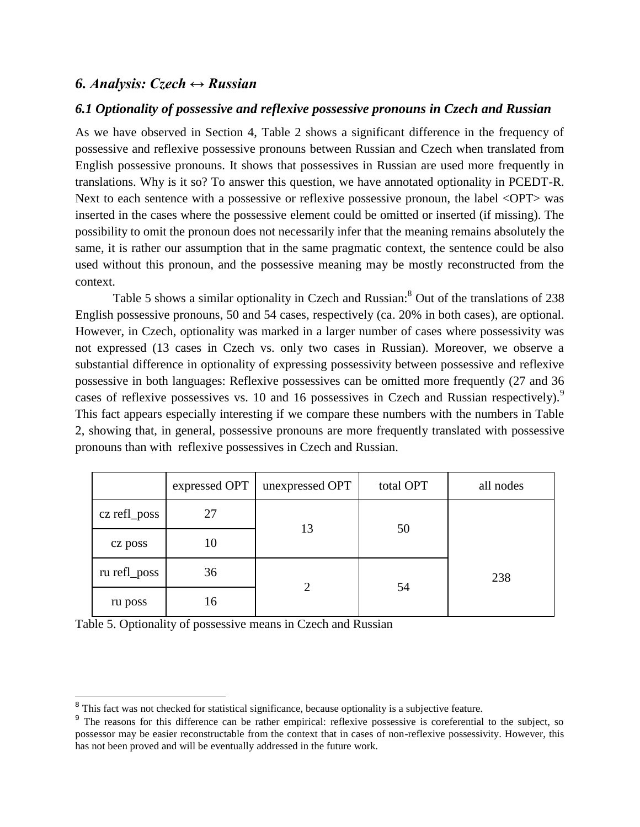## *6. Analysis: Czech ↔ Russian*

### *6.1 Optionality of possessive and reflexive possessive pronouns in Czech and Russian*

As we have observed in Section 4, Table 2 shows a significant difference in the frequency of possessive and reflexive possessive pronouns between Russian and Czech when translated from English possessive pronouns. It shows that possessives in Russian are used more frequently in translations. Why is it so? To answer this question, we have annotated optionality in PCEDT-R. Next to each sentence with a possessive or reflexive possessive pronoun, the label <OPT> was inserted in the cases where the possessive element could be omitted or inserted (if missing). The possibility to omit the pronoun does not necessarily infer that the meaning remains absolutely the same, it is rather our assumption that in the same pragmatic context, the sentence could be also used without this pronoun, and the possessive meaning may be mostly reconstructed from the context.

Table 5 shows a similar optionality in Czech and Russian:<sup>8</sup> Out of the translations of 238 English possessive pronouns, 50 and 54 cases, respectively (ca. 20% in both cases), are optional. However, in Czech, optionality was marked in a larger number of cases where possessivity was not expressed (13 cases in Czech vs. only two cases in Russian). Moreover, we observe a substantial difference in optionality of expressing possessivity between possessive and reflexive possessive in both languages: Reflexive possessives can be omitted more frequently (27 and 36 cases of reflexive possessives vs. 10 and 16 possessives in Czech and Russian respectively).<sup>9</sup> This fact appears especially interesting if we compare these numbers with the numbers in Table 2, showing that, in general, possessive pronouns are more frequently translated with possessive pronouns than with reflexive possessives in Czech and Russian.

|              | expressed OPT | unexpressed OPT | total OPT | all nodes |  |
|--------------|---------------|-----------------|-----------|-----------|--|
| cz refl_poss | 27            | 13              | 50        |           |  |
| cz poss      | 10            |                 |           |           |  |
| ru refl_poss | 36            |                 |           | 238       |  |
| ru poss      | 16            |                 | 54        |           |  |

Table 5. Optionality of possessive means in Czech and Russian

<sup>&</sup>lt;sup>8</sup> This fact was not checked for statistical significance, because optionality is a subjective feature.

<sup>&</sup>lt;sup>9</sup> The reasons for this difference can be rather empirical: reflexive possessive is coreferential to the subject, so possessor may be easier reconstructable from the context that in cases of non-reflexive possessivity. However, this has not been proved and will be eventually addressed in the future work.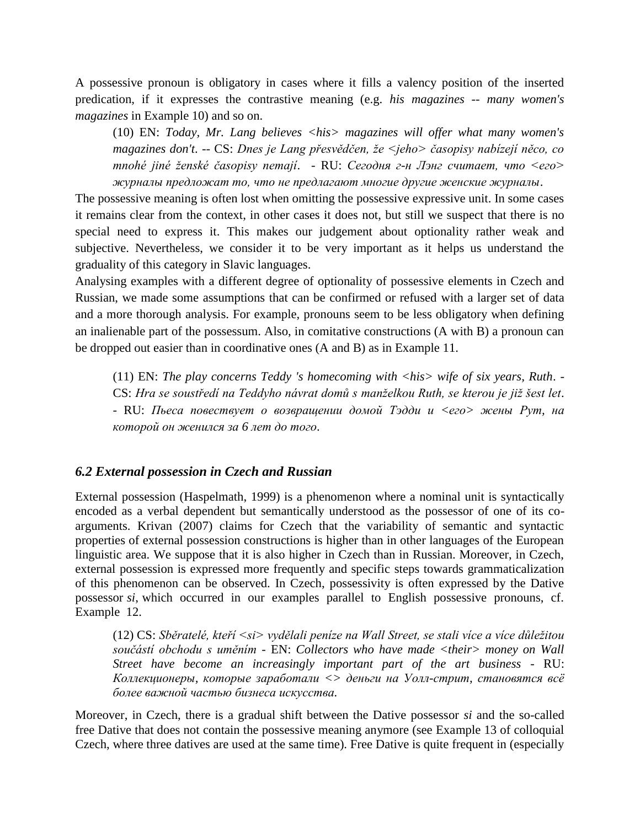A possessive pronoun is obligatory in cases where it fills a valency position of the inserted predication, if it expresses the contrastive meaning (e.g. *his magazines -- many women's magazines* in Example 10) and so on.

(10) EN: *Today, Mr. Lang believes <his> magazines will offer what many women's magazines don't*. -- CS: *Dnes je Lang přesvědčen, že <jeho> časopisy nabízejí něco, co mnohé jiné ženské časopisy nemají*. - RU: *Сегодня г-н Лэнг считает, что <его> журналы предложат то, что не предлагают многие другие женские журналы*.

The possessive meaning is often lost when omitting the possessive expressive unit. In some cases it remains clear from the context, in other cases it does not, but still we suspect that there is no special need to express it. This makes our judgement about optionality rather weak and subjective. Nevertheless, we consider it to be very important as it helps us understand the graduality of this category in Slavic languages.

Analysing examples with a different degree of optionality of possessive elements in Czech and Russian, we made some assumptions that can be confirmed or refused with a larger set of data and a more thorough analysis. For example, pronouns seem to be less obligatory when defining an inalienable part of the possessum. Also, in comitative constructions (A with B) a pronoun can be dropped out easier than in coordinative ones (A and B) as in Example 11.

(11) EN: *The play concerns Teddy 's homecoming with <his> wife of six years, Ruth*. - CS: *Hra se soustředí na Teddyho návrat domů s manželkou Ruth, se kterou je již šest let*. - RU: *Пьеса повествует о возвращении домой Тэдди и <его> жены Рут, на которой он женился за 6 лет до того*.

#### *6.2 External possession in Czech and Russian*

External possession (Haspelmath, 1999) is a phenomenon where a nominal unit is syntactically encoded as a verbal dependent but semantically understood as the possessor of one of its coarguments. Krivan (2007) claims for Czech that the variability of semantic and syntactic properties of external possession constructions is higher than in other languages of the European linguistic area. We suppose that it is also higher in Czech than in Russian. Moreover, in Czech, external possession is expressed more frequently and specific steps towards grammaticalization of this phenomenon can be observed. In Czech, possessivity is often expressed by the Dative possessor *si*, which occurred in our examples parallel to English possessive pronouns, cf. Example 12.

(12) CS: *Sběratelé, kteří <si> vydělali peníze na Wall Street, se stali více a více důležitou součástí obchodu s uměním* - EN: *Collectors who have made <their> money on Wall Street have become an increasingly important part of the art business* - RU: *Коллекционеры, которые заработали <> деньги на Уолл-стрит, становятся всё более важной частью бизнеса искусства.*

Moreover, in Czech, there is a gradual shift between the Dative possessor *si* and the so-called free Dative that does not contain the possessive meaning anymore (see Example 13 of colloquial Czech, where three datives are used at the same time). Free Dative is quite frequent in (especially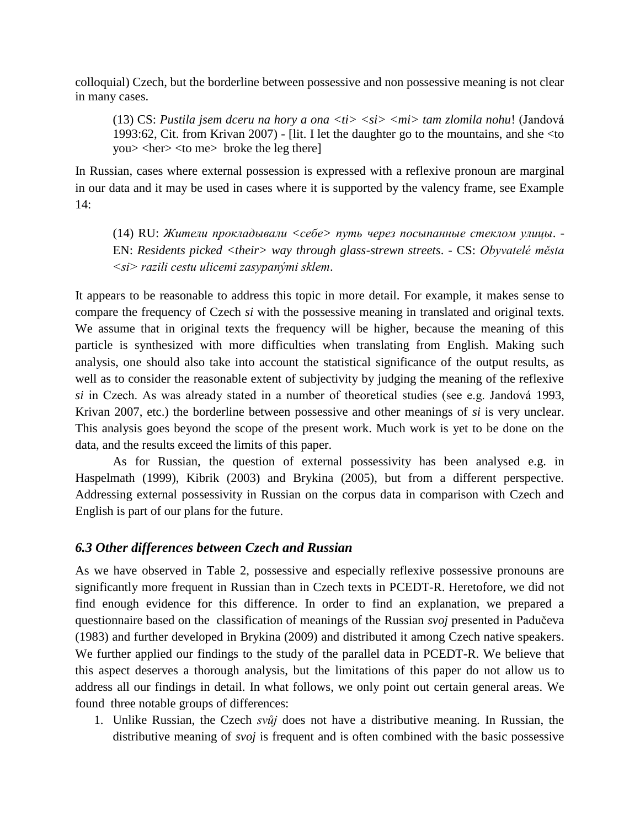colloquial) Czech, but the borderline between possessive and non possessive meaning is not clear in many cases.

(13) CS: *Pustila jsem dceru na hory a ona <ti> <si> <mi> tam zlomila nohu*! (Jandová 1993:62, Cit. from Krivan 2007) - [lit. I let the daughter go to the mountains, and she <to you> <her> <to me> broke the leg there]

In Russian, cases where external possession is expressed with a reflexive pronoun are marginal in our data and it may be used in cases where it is supported by the valency frame, see Example 14:

(14) RU: *Жители прокладывали <себе> путь через посыпанные стеклом улицы*. - EN: *Residents picked <their> way through glass-strewn streets*. - CS: *Obyvatelé města <si> razili cestu ulicemi zasypanými sklem*.

It appears to be reasonable to address this topic in more detail. For example, it makes sense to compare the frequency of Czech *si* with the possessive meaning in translated and original texts. We assume that in original texts the frequency will be higher, because the meaning of this particle is synthesized with more difficulties when translating from English. Making such analysis, one should also take into account the statistical significance of the output results, as well as to consider the reasonable extent of subjectivity by judging the meaning of the reflexive *si* in Czech. As was already stated in a number of theoretical studies (see e.g. Jandová 1993, Krivan 2007, etc.) the borderline between possessive and other meanings of *si* is very unclear. This analysis goes beyond the scope of the present work. Much work is yet to be done on the data, and the results exceed the limits of this paper.

As for Russian, the question of external possessivity has been analysed e.g. in Haspelmath (1999), Kibrik (2003) and Brykina (2005), but from a different perspective. Addressing external possessivity in Russian on the corpus data in comparison with Czech and English is part of our plans for the future.

### *6.3 Other differences between Czech and Russian*

As we have observed in Table 2, possessive and especially reflexive possessive pronouns are significantly more frequent in Russian than in Czech texts in PCEDT-R. Heretofore, we did not find enough evidence for this difference. In order to find an explanation, we prepared a questionnaire based on the classification of meanings of the Russian *svoj* presented in Padučeva (1983) and further developed in Brykina (2009) and distributed it among Czech native speakers. We further applied our findings to the study of the parallel data in PCEDT-R. We believe that this aspect deserves a thorough analysis, but the limitations of this paper do not allow us to address all our findings in detail. In what follows, we only point out certain general areas. We found three notable groups of differences:

1. Unlike Russian, the Czech *svůj* does not have a distributive meaning. In Russian, the distributive meaning of *svoj* is frequent and is often combined with the basic possessive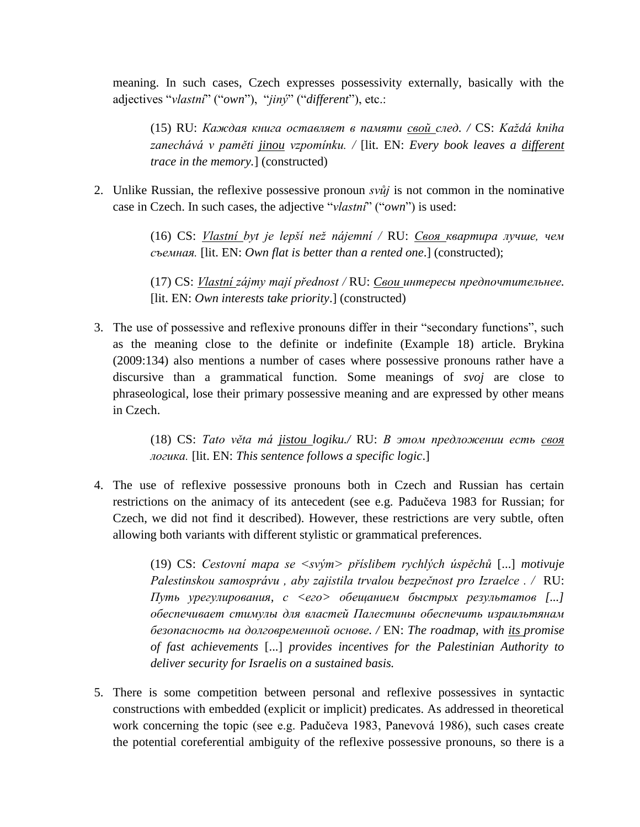meaning. In such cases, Czech expresses possessivity externally, basically with the adjectives "*vlastní*" ("*own*"), "*jiný*" ("*different*"), etc.:

(15) RU: *Каждая книга оставляет в памяти свой след. /* CS: *Každá kniha zanechává v paměti jinou vzpomínku. /* [lit. EN: *Every book leaves a different trace in the memory.*] (constructed)

2. Unlike Russian, the reflexive possessive pronoun *svůj* is not common in the nominative case in Czech. In such cases, the adjective "*vlastní*" ("*own*") is used:

> (16) CS: *Vlastní byt je lepší než nájemní /* RU: *Своя квартира лучше, чем съемная.* [lit. EN: *Own flat is better than a rented one*.] (constructed);

> (17) CS: *Vlastní zájmy mají přednost /* RU: *Cвои интересы предпочтительнее.*  [lit. EN: *Own interests take priority*.] (constructed)

3. The use of possessive and reflexive pronouns differ in their "secondary functions", such as the meaning close to the definite or indefinite (Example 18) article. Brykina (2009:134) also mentions a number of cases where possessive pronouns rather have a discursive than a grammatical function. Some meanings of *svoj* are close to phraseological, lose their primary possessive meaning and are expressed by other means in Czech.

> (18) CS: *Tato věta má jistou logiku./* RU: *В этом предложении есть своя логика.* [lit. EN: *This sentence follows a specific logic*.]

4. The use of reflexive possessive pronouns both in Czech and Russian has certain restrictions on the animacy of its antecedent (see e.g. Padučeva 1983 for Russian; for Czech, we did not find it described). However, these restrictions are very subtle, often allowing both variants with different stylistic or grammatical preferences.

> (19) CS: *Cestovní mapa se <svým> příslibem rychlých úspěchů* [...] *motivuje Palestinskou samosprávu , aby zajistila trvalou bezpečnost pro Izraelce . /* RU: *Путь урегулирования, с <его> обещанием быстрых результатов [...] обеспечивает стимулы для властей Палестины обеспечить израильтянам безопасность на долговременной основе. /* EN: *The roadmap, with its promise of fast achievements* [...] *provides incentives for the Palestinian Authority to deliver security for Israelis on a sustained basis.*

5. There is some competition between personal and reflexive possessives in syntactic constructions with embedded (explicit or implicit) predicates. As addressed in theoretical work concerning the topic (see e.g. Padučeva 1983, Panevová 1986), such cases create the potential coreferential ambiguity of the reflexive possessive pronouns, so there is a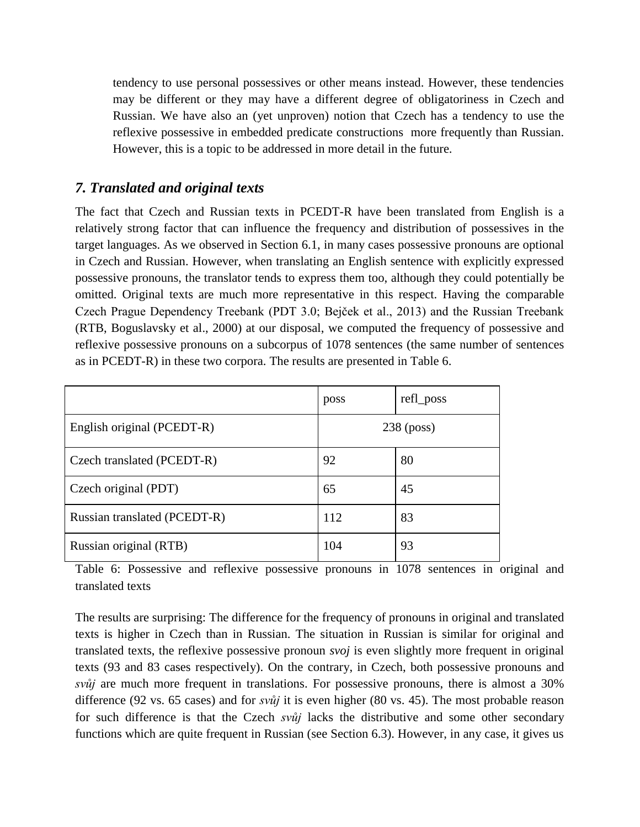tendency to use personal possessives or other means instead. However, these tendencies may be different or they may have a different degree of obligatoriness in Czech and Russian. We have also an (yet unproven) notion that Czech has a tendency to use the reflexive possessive in embedded predicate constructions more frequently than Russian. However, this is a topic to be addressed in more detail in the future.

# *7. Translated and original texts*

The fact that Czech and Russian texts in PCEDT-R have been translated from English is a relatively strong factor that can influence the frequency and distribution of possessives in the target languages. As we observed in Section 6.1, in many cases possessive pronouns are optional in Czech and Russian. However, when translating an English sentence with explicitly expressed possessive pronouns, the translator tends to express them too, although they could potentially be omitted. Original texts are much more representative in this respect. Having the comparable Czech Prague Dependency Treebank (PDT 3.0; Bejček et al., 2013) and the Russian Treebank (RTB, Boguslavsky et al., 2000) at our disposal, we computed the frequency of possessive and reflexive possessive pronouns on a subcorpus of 1078 sentences (the same number of sentences as in PCEDT-R) in these two corpora. The results are presented in Table 6.

|                              | poss         | refl_poss |  |
|------------------------------|--------------|-----------|--|
| English original (PCEDT-R)   | $238$ (poss) |           |  |
| Czech translated (PCEDT-R)   | 92           | 80        |  |
| Czech original (PDT)         | 65           | 45        |  |
| Russian translated (PCEDT-R) | 112          | 83        |  |
| Russian original (RTB)       | 104          | 93        |  |

Table 6: Possessive and reflexive possessive pronouns in 1078 sentences in original and translated texts

The results are surprising: The difference for the frequency of pronouns in original and translated texts is higher in Czech than in Russian. The situation in Russian is similar for original and translated texts, the reflexive possessive pronoun *svoj* is even slightly more frequent in original texts (93 and 83 cases respectively). On the contrary, in Czech, both possessive pronouns and *svůj* are much more frequent in translations. For possessive pronouns, there is almost a 30% difference (92 vs. 65 cases) and for *svůj* it is even higher (80 vs. 45). The most probable reason for such difference is that the Czech *svůj* lacks the distributive and some other secondary functions which are quite frequent in Russian (see Section 6.3). However, in any case, it gives us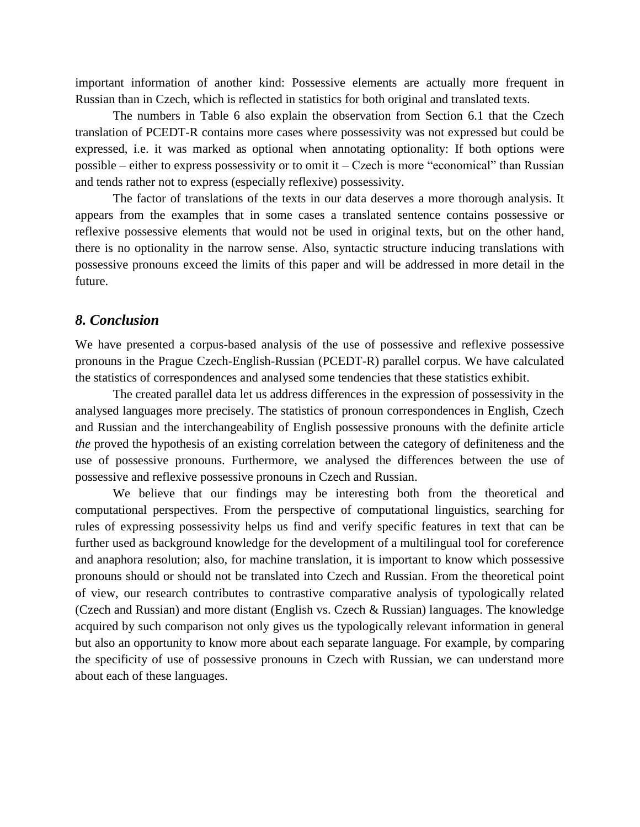important information of another kind: Possessive elements are actually more frequent in Russian than in Czech, which is reflected in statistics for both original and translated texts.

The numbers in Table 6 also explain the observation from Section 6.1 that the Czech translation of PCEDT-R contains more cases where possessivity was not expressed but could be expressed, i.e. it was marked as optional when annotating optionality: If both options were possible – either to express possessivity or to omit it – Czech is more "economical" than Russian and tends rather not to express (especially reflexive) possessivity.

The factor of translations of the texts in our data deserves a more thorough analysis. It appears from the examples that in some cases a translated sentence contains possessive or reflexive possessive elements that would not be used in original texts, but on the other hand, there is no optionality in the narrow sense. Also, syntactic structure inducing translations with possessive pronouns exceed the limits of this paper and will be addressed in more detail in the future.

#### *8. Conclusion*

We have presented a corpus-based analysis of the use of possessive and reflexive possessive pronouns in the Prague Czech-English-Russian (PCEDT-R) parallel corpus. We have calculated the statistics of correspondences and analysed some tendencies that these statistics exhibit.

The created parallel data let us address differences in the expression of possessivity in the analysed languages more precisely. The statistics of pronoun correspondences in English, Czech and Russian and the interchangeability of English possessive pronouns with the definite article *the* proved the hypothesis of an existing correlation between the category of definiteness and the use of possessive pronouns. Furthermore, we analysed the differences between the use of possessive and reflexive possessive pronouns in Czech and Russian.

We believe that our findings may be interesting both from the theoretical and computational perspectives. From the perspective of computational linguistics, searching for rules of expressing possessivity helps us find and verify specific features in text that can be further used as background knowledge for the development of a multilingual tool for coreference and anaphora resolution; also, for machine translation, it is important to know which possessive pronouns should or should not be translated into Czech and Russian. From the theoretical point of view, our research contributes to contrastive comparative analysis of typologically related (Czech and Russian) and more distant (English vs. Czech & Russian) languages. The knowledge acquired by such comparison not only gives us the typologically relevant information in general but also an opportunity to know more about each separate language. For example, by comparing the specificity of use of possessive pronouns in Czech with Russian, we can understand more about each of these languages.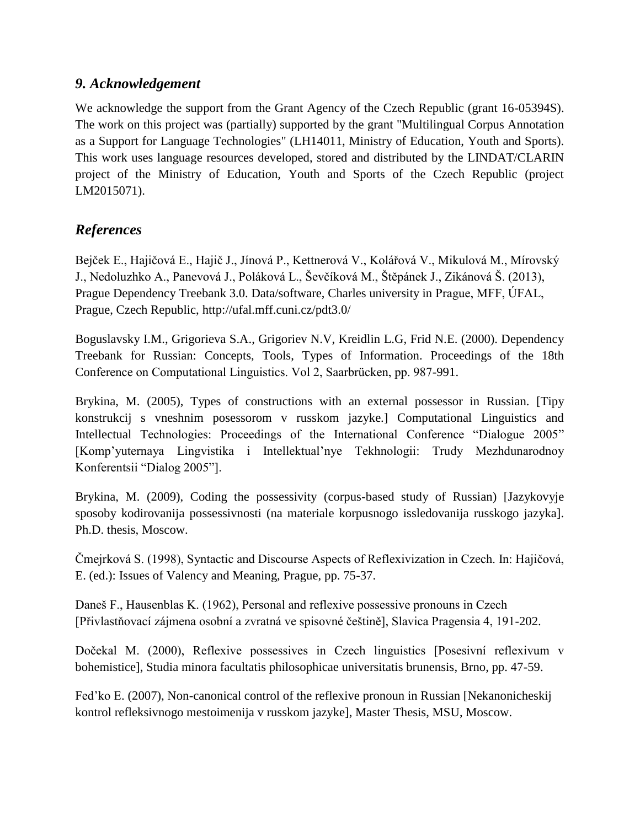## *9. Acknowledgement*

We acknowledge the support from the Grant Agency of the Czech Republic (grant 16-05394S). The work on this project was (partially) supported by the grant "Multilingual Corpus Annotation as a Support for Language Technologies" (LH14011, Ministry of Education, Youth and Sports). This work uses language resources developed, stored and distributed by the LINDAT/CLARIN project of the Ministry of Education, Youth and Sports of the Czech Republic (project LM2015071).

# *References*

Bejček E., Hajičová E., Hajič J., Jínová P., Kettnerová V., Kolářová V., Mikulová M., Mírovský J., Nedoluzhko A., Panevová J., Poláková L., Ševčíková M., Štěpánek J., Zikánová Š. (2013), Prague Dependency Treebank 3.0. Data/software, Charles university in Prague, MFF, ÚFAL, Prague, Czech Republic, http://ufal.mff.cuni.cz/pdt3.0/

Boguslavsky I.M., Grigorieva S.A., Grigoriev N.V, Kreidlin L.G, Frid N.E. (2000). Dependency Treebank for Russian: Concepts, Tools, Types of Information. Proceedings of the 18th Conference on Computational Linguistics. Vol 2, Saarbrücken, pp. 987-991.

Brykina, M. (2005), Types of constructions with an external possessor in Russian. [Tipy konstrukcij s vneshnim posessorom v russkom jazyke.] Computational Linguistics and Intellectual Technologies: Proceedings of the International Conference "Dialogue 2005" [Komp'yuternaya Lingvistika i Intellektual'nye Tekhnologii: Trudy Mezhdunarodnoy Konferentsii "Dialog 2005"].

Brykina, M. (2009), Coding the possessivity (corpus-based study of Russian) [Jazykovyje sposoby kodirovanija possessivnosti (na materiale korpusnogo issledovanija russkogo jazyka]. Ph.D. thesis, Moscow.

Čmejrková S. (1998), Syntactic and Discourse Aspects of Reflexivization in Czech. In: Hajičová, E. (ed.): Issues of Valency and Meaning, Prague, pp. 75-37.

Daneš F., Hausenblas K. (1962), Personal and reflexive possessive pronouns in Czech [Přivlastňovací zájmena osobní a zvratná ve spisovné češtině], Slavica Pragensia 4, 191-202.

Dočekal M. (2000), Reflexive possessives in Czech linguistics [Posesivní reflexivum v bohemistice], Studia minora facultatis philosophicae universitatis brunensis, Brno, pp. 47-59.

Fed'ko E. (2007), Non-canonical control of the reflexive pronoun in Russian [Nekanonicheskij] kontrol refleksivnogo mestoimenija v russkom jazyke], Master Thesis, MSU, Moscow.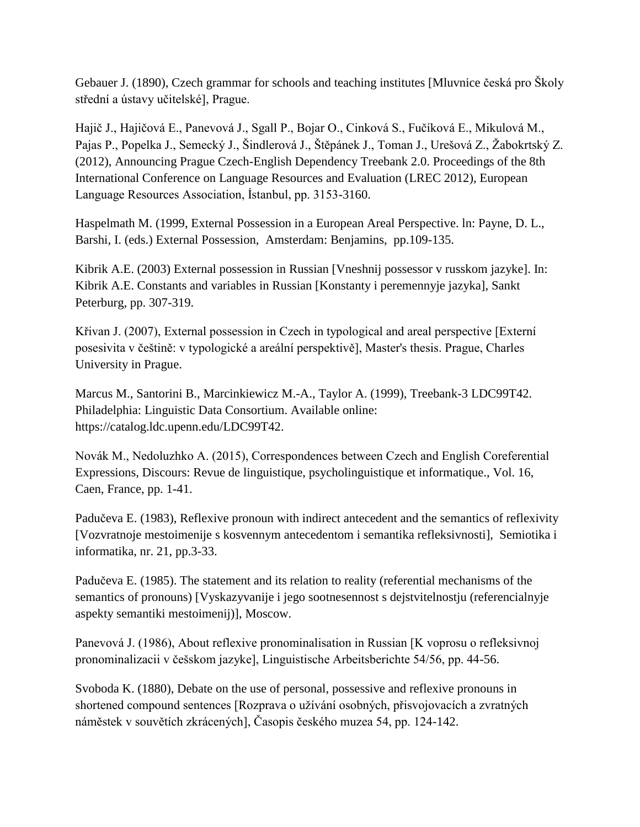Gebauer J. (1890), Czech grammar for schools and teaching institutes [Mluvnice česká pro Školy střední a ústavy učitelské], Prague.

Hajič J., Hajičová E., Panevová J., Sgall P., Bojar O., Cinková S., Fučíková E., Mikulová M., Pajas P., Popelka J., Semecký J., Šindlerová J., Štěpánek J., Toman J., Urešová Z., Žabokrtský Z. (2012), Announcing Prague Czech-English Dependency Treebank 2.0. Proceedings of the 8th International Conference on Language Resources and Evaluation (LREC 2012), European Language Resources Association, İstanbul, pp. 3153-3160.

Haspelmath M. (1999, External Possession in a European Areal Perspective. ln: Payne, D. L., Barshi, I. (eds.) External Possession, Amsterdam: Benjamins, pp.109-135.

Kibrik A.E. (2003) External possession in Russian [Vneshnij possessor v russkom jazyke]. In: Kibrik A.E. Constants and variables in Russian [Konstanty i peremennyje jazyka], Sankt Peterburg, pp. 307-319.

Křivan J. (2007), External possession in Czech in typological and areal perspective [Externí posesivita v češtině: v typologické a areální perspektivě], Master's thesis. Prague, Charles University in Prague.

Marcus M., Santorini B., Marcinkiewicz M.-A., Taylor A. (1999), Treebank-3 LDC99T42. Philadelphia: Linguistic Data Consortium. Available online: https://catalog.ldc.upenn.edu/LDC99T42.

Novák M., Nedoluzhko A. (2015), Correspondences between Czech and English Coreferential Expressions, Discours: Revue de linguistique, psycholinguistique et informatique., Vol. 16, Caen, France, pp. 1-41.

Padučeva E. (1983), Reflexive pronoun with indirect antecedent and the semantics of reflexivity [Vozvratnoje mestoimenije s kosvennym antecedentom i semantika refleksivnosti], Semiotika i informatika, nr. 21, pp.3-33.

Padučeva E. (1985). The statement and its relation to reality (referential mechanisms of the semantics of pronouns) [Vyskazyvanije i jego sootnesennost s dejstvitelnostju (referencialnyje aspekty semantiki mestoimenij)], Moscow.

Panevová J. (1986), About reflexive pronominalisation in Russian [K voprosu o refleksivnoj pronominalizacii v češskom jazyke], Linguistische Arbeitsberichte 54/56, pp. 44-56.

Svoboda K. (1880), Debate on the use of personal, possessive and reflexive pronouns in shortened compound sentences [Rozprava o užívání osobných, přisvojovacích a zvratných náměstek v souvětích zkrácených], Časopis českého muzea 54, pp. 124-142.